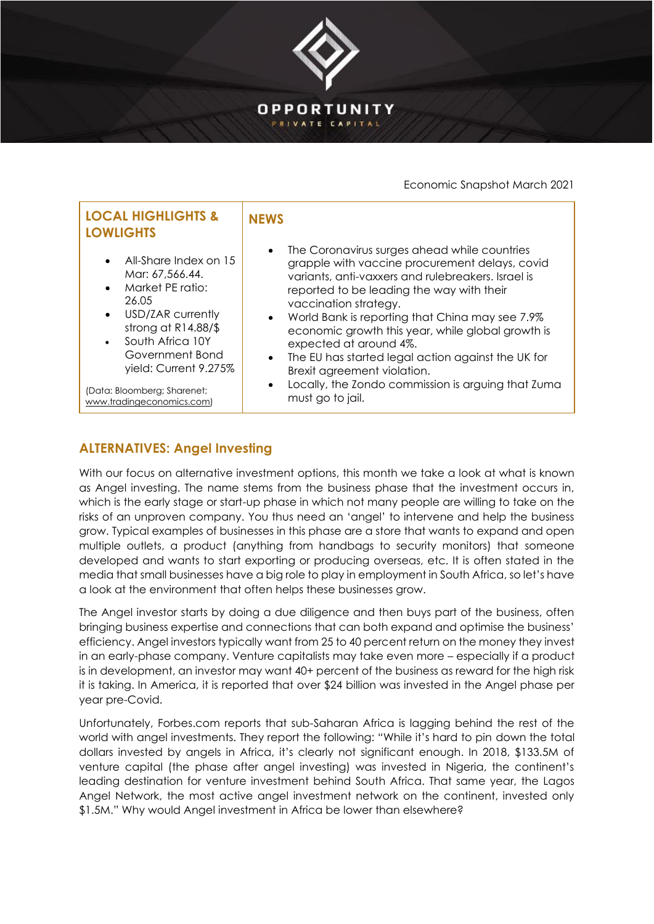

## Economic Snapshot March 2021

| <b>LOCAL HIGHLIGHTS &amp;</b><br><b>LOWLIGHTS</b>                                                                                                                                                                                                             | <b>NFWS</b>                                                                                                                                                                                                                                                                                                                                                                                                                                                                                                                                                          |
|---------------------------------------------------------------------------------------------------------------------------------------------------------------------------------------------------------------------------------------------------------------|----------------------------------------------------------------------------------------------------------------------------------------------------------------------------------------------------------------------------------------------------------------------------------------------------------------------------------------------------------------------------------------------------------------------------------------------------------------------------------------------------------------------------------------------------------------------|
| All-Share Index on 15<br>Mar: 67,566.44.<br>Market PE ratio:<br>26.05<br>USD/ZAR currently<br>$\bullet$<br>strong at $R14.88/$ \$<br>South Africa 10Y<br>Government Bond<br>yield: Current 9.275%<br>(Data: Bloomberg; Sharenet;<br>www.tradingeconomics.com) | The Coronavirus surges ahead while countries<br>$\bullet$<br>grapple with vaccine procurement delays, covid<br>variants, anti-vaxxers and rulebreakers. Israel is<br>reported to be leading the way with their<br>vaccination strategy.<br>• World Bank is reporting that China may see 7.9%<br>economic growth this year, while global growth is<br>expected at around 4%.<br>The EU has started legal action against the UK for<br>$\bullet$<br>Brexit agreement violation.<br>Locally, the Zondo commission is arguing that Zuma<br>$\bullet$<br>must go to jail. |

## **ALTERNATIVES: Angel Investing**

With our focus on alternative investment options, this month we take a look at what is known as Angel investing. The name stems from the business phase that the investment occurs in, which is the early stage or start-up phase in which not many people are willing to take on the risks of an unproven company. You thus need an 'angel' to intervene and help the business grow. Typical examples of businesses in this phase are a store that wants to expand and open multiple outlets, a product (anything from handbags to security monitors) that someone developed and wants to start exporting or producing overseas, etc. It is often stated in the media that small businesses have a big role to play in employment in South Africa, so let's have a look at the environment that often helps these businesses grow.

The Angel investor starts by doing a due diligence and then buys part of the business, often bringing business expertise and connections that can both expand and optimise the business' efficiency. Angel investors typically want from 25 to 40 percent return on the money they invest in an early-phase company. Venture capitalists may take even more – especially if a product is in development, an investor may want 40+ percent of the business as reward for the high risk it is taking. In America, it is reported that over \$24 billion was invested in the Angel phase per year pre-Covid.

Unfortunately, Forbes.com reports that sub-Saharan Africa is lagging behind the rest of the world with angel investments. They report the following: "While it's hard to pin down the total dollars invested by angels in Africa, it's clearly not significant enough. In 2018, \$133.5M of venture capital (the phase after angel investing) was invested in Nigeria, the continent's leading destination for venture investment behind South Africa. That same year, the Lagos Angel Network, the most active angel investment network on the continent, invested only \$1.5M." Why would Angel investment in Africa be lower than elsewhere?